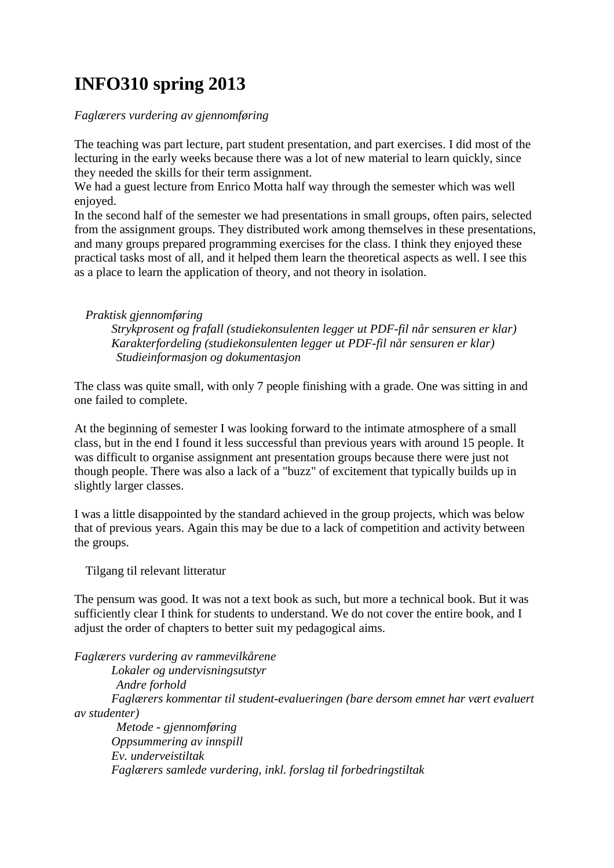## **INFO310 spring 2013**

## *Faglærers vurdering av gjennomføring*

The teaching was part lecture, part student presentation, and part exercises. I did most of the lecturing in the early weeks because there was a lot of new material to learn quickly, since they needed the skills for their term assignment.

We had a guest lecture from Enrico Motta half way through the semester which was well enjoyed.

In the second half of the semester we had presentations in small groups, often pairs, selected from the assignment groups. They distributed work among themselves in these presentations, and many groups prepared programming exercises for the class. I think they enjoyed these practical tasks most of all, and it helped them learn the theoretical aspects as well. I see this as a place to learn the application of theory, and not theory in isolation.

## *Praktisk gjennomføring*

*Strykprosent og frafall (studiekonsulenten legger ut PDF-fil når sensuren er klar) Karakterfordeling (studiekonsulenten legger ut PDF-fil når sensuren er klar) Studieinformasjon og dokumentasjon* 

The class was quite small, with only 7 people finishing with a grade. One was sitting in and one failed to complete.

At the beginning of semester I was looking forward to the intimate atmosphere of a small class, but in the end I found it less successful than previous years with around 15 people. It was difficult to organise assignment ant presentation groups because there were just not though people. There was also a lack of a "buzz" of excitement that typically builds up in slightly larger classes.

I was a little disappointed by the standard achieved in the group projects, which was below that of previous years. Again this may be due to a lack of competition and activity between the groups.

Tilgang til relevant litteratur

The pensum was good. It was not a text book as such, but more a technical book. But it was sufficiently clear I think for students to understand. We do not cover the entire book, and I adjust the order of chapters to better suit my pedagogical aims.

*Faglærers vurdering av rammevilkårene Lokaler og undervisningsutstyr Andre forhold Faglærers kommentar til student-evalueringen (bare dersom emnet har vært evaluert av studenter) Metode - gjennomføring Oppsummering av innspill Ev. underveistiltak Faglærers samlede vurdering, inkl. forslag til forbedringstiltak*